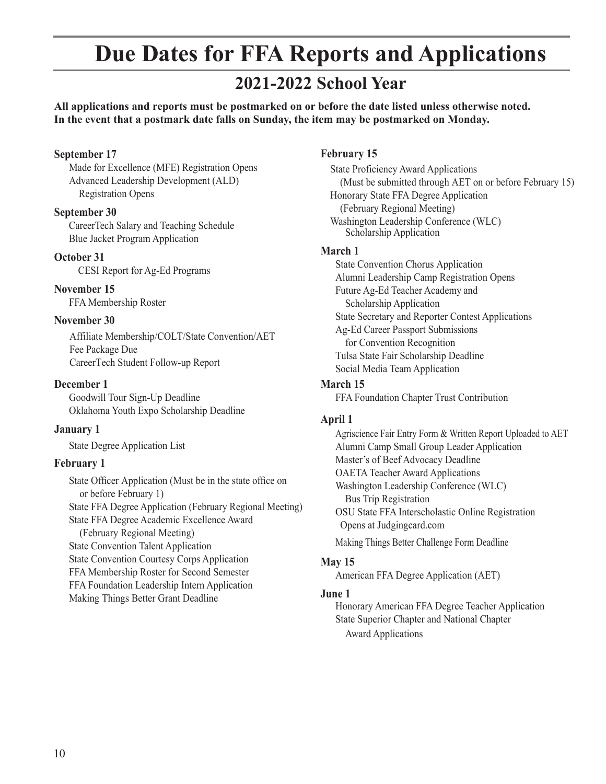## **Due Dates for FFA Reports and Applications**

### **2021-2022 School Year**

**All applications and reports must be postmarked on or before the date listed unless otherwise noted. In the event that a postmark date falls on Sunday, the item may be postmarked on Monday.**

#### **September 17**

Made for Excellence (MFE) Registration Opens Advanced Leadership Development (ALD) Registration Opens

#### **September 30**

 CareerTech Salary and Teaching Schedule Blue Jacket Program Application

#### **October 31**

CESI Report for Ag-Ed Programs

#### **November 15**

FFA Membership Roster

#### **November 30**

Affiliate Membership/COLT/State Convention/AET Fee Package Due CareerTech Student Follow-up Report

#### **December 1**

Goodwill Tour Sign-Up Deadline Oklahoma Youth Expo Scholarship Deadline

#### **January 1**

State Degree Application List

#### **February 1**

State Officer Application (Must be in the state office on or before February 1) State FFA Degree Application (February Regional Meeting) State FFA Degree Academic Excellence Award (February Regional Meeting) State Convention Talent Application State Convention Courtesy Corps Application FFA Membership Roster for Second Semester FFA Foundation Leadership Intern Application Making Things Better Grant Deadline

#### **February 15**

State Proficiency Award Applications (Must be submitted through AET on or before February 15) Honorary State FFA Degree Application (February Regional Meeting) Washington Leadership Conference (WLC) Scholarship Application

#### **March 1**

State Convention Chorus Application Alumni Leadership Camp Registration Opens Future Ag-Ed Teacher Academy and Scholarship Application State Secretary and Reporter Contest Applications Ag-Ed Career Passport Submissions for Convention Recognition Tulsa State Fair Scholarship Deadline Social Media Team Application

#### **March 15**

FFA Foundation Chapter Trust Contribution

#### **April 1**

Agriscience Fair Entry Form & Written Report Uploaded to AET Alumni Camp Small Group Leader Application Master's of Beef Advocacy Deadline OAETA Teacher Award Applications Washington Leadership Conference (WLC) Bus Trip Registration OSU State FFA Interscholastic Online Registration Opens at Judgingcard.com Making Things Better Challenge Form Deadline

#### **May 15**

American FFA Degree Application (AET)

#### **June 1**

Honorary American FFA Degree Teacher Application State Superior Chapter and National Chapter Award Applications